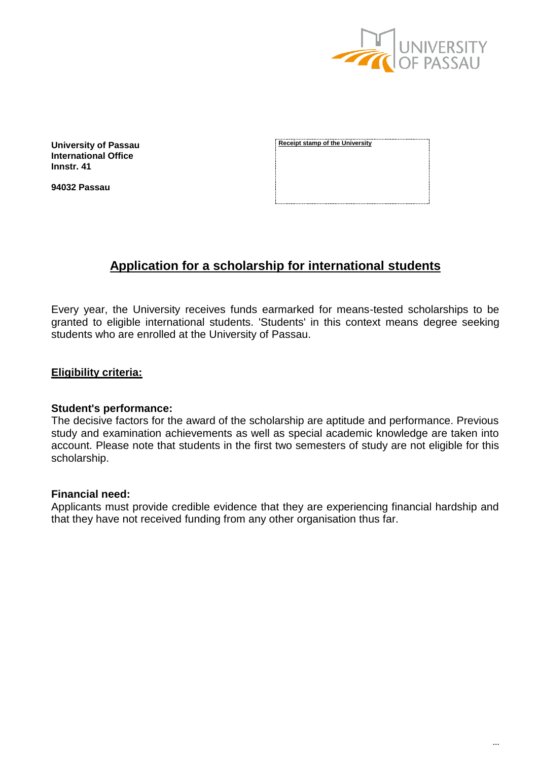

**University of Passau International Office Innstr. 41**

**94032 Passau**

**Receipt stamp of the University**

# **Application for a scholarship for international students**

Every year, the University receives funds earmarked for means-tested scholarships to be granted to eligible international students. 'Students' in this context means degree seeking students who are enrolled at the University of Passau.

### **Eligibility criteria:**

#### **Student's performance:**

The decisive factors for the award of the scholarship are aptitude and performance. Previous study and examination achievements as well as special academic knowledge are taken into account. Please note that students in the first two semesters of study are not eligible for this scholarship.

#### **Financial need:**

Applicants must provide credible evidence that they are experiencing financial hardship and that they have not received funding from any other organisation thus far.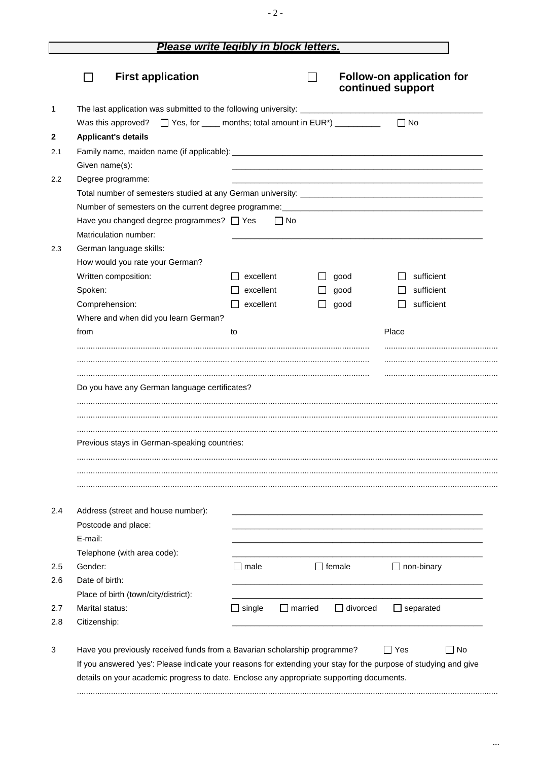## Please write legibly in block letters.

|                                                                                  |                                      |                |               | continued support |           | <b>Follow-on application for</b> |
|----------------------------------------------------------------------------------|--------------------------------------|----------------|---------------|-------------------|-----------|----------------------------------|
|                                                                                  |                                      |                |               |                   |           |                                  |
| □ Yes, for _____ months; total amount in EUR*) ___________<br>Was this approved? |                                      |                |               |                   | $\Box$ No |                                  |
| <b>Applicant's details</b>                                                       |                                      |                |               |                   |           |                                  |
|                                                                                  |                                      |                |               |                   |           |                                  |
| Given name(s):                                                                   |                                      |                |               |                   |           |                                  |
| Degree programme:                                                                |                                      |                |               |                   |           |                                  |
|                                                                                  |                                      |                |               |                   |           |                                  |
|                                                                                  |                                      |                |               |                   |           |                                  |
| Have you changed degree programmes? $\Box$ Yes<br>Matriculation number:          |                                      | $\Box$ No      |               |                   |           |                                  |
| German language skills:                                                          |                                      |                |               |                   |           |                                  |
| How would you rate your German?                                                  |                                      |                |               |                   |           |                                  |
| Written composition:                                                             | excellent                            |                | good          |                   |           | sufficient                       |
| Spoken:                                                                          | excellent                            |                | good          |                   |           | sufficient                       |
| Comprehension:                                                                   | excellent                            |                | good          |                   |           | sufficient                       |
| Where and when did you learn German?                                             |                                      |                |               |                   |           |                                  |
| from                                                                             | to                                   |                |               |                   | Place     |                                  |
|                                                                                  |                                      |                |               |                   |           |                                  |
| Previous stays in German-speaking countries:                                     |                                      |                |               |                   |           |                                  |
| Address (street and house number):<br>Postcode and place:<br>E-mail:             |                                      |                |               |                   |           |                                  |
| Telephone (with area code):                                                      |                                      |                |               |                   |           |                                  |
| Gender:                                                                          | $\Box$ male                          |                | $\Box$ female |                   |           | $\Box$ non-binary                |
| Date of birth:                                                                   |                                      |                |               |                   |           |                                  |
| Place of birth (town/city/district):                                             |                                      |                |               |                   |           |                                  |
| Marital status:<br>Citizenship:                                                  | $\mathsf{\overline{\text{}}}$ single | $\Box$ married |               | $\Box$ divorced   |           | ] separated                      |

 $\ldots$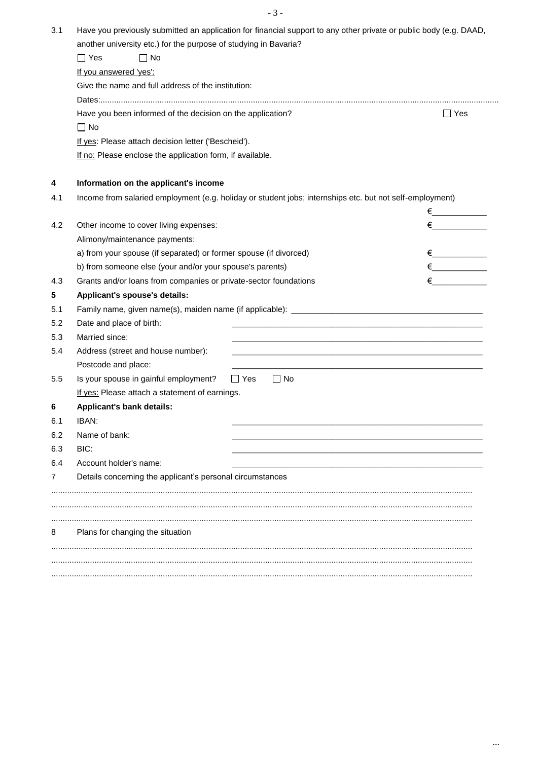- 3 -

| 3.1 | Have you previously submitted an application for financial support to any other private or public body (e.g. DAAD,                     |            |  |  |  |  |  |
|-----|----------------------------------------------------------------------------------------------------------------------------------------|------------|--|--|--|--|--|
|     | another university etc.) for the purpose of studying in Bavaria?                                                                       |            |  |  |  |  |  |
|     | $\Box$ No<br>$\Box$ Yes                                                                                                                |            |  |  |  |  |  |
|     | If you answered 'yes':                                                                                                                 |            |  |  |  |  |  |
|     | Give the name and full address of the institution:                                                                                     |            |  |  |  |  |  |
|     |                                                                                                                                        |            |  |  |  |  |  |
|     | Have you been informed of the decision on the application?<br>$\Box$ Yes                                                               |            |  |  |  |  |  |
|     | $\Box$ No                                                                                                                              |            |  |  |  |  |  |
|     | If yes: Please attach decision letter ('Bescheid').<br>If no: Please enclose the application form, if available.                       |            |  |  |  |  |  |
|     |                                                                                                                                        |            |  |  |  |  |  |
|     |                                                                                                                                        |            |  |  |  |  |  |
| 4   | Information on the applicant's income                                                                                                  |            |  |  |  |  |  |
| 4.1 | Income from salaried employment (e.g. holiday or student jobs; internships etc. but not self-employment)                               |            |  |  |  |  |  |
|     |                                                                                                                                        |            |  |  |  |  |  |
| 4.2 | Other income to cover living expenses:                                                                                                 | $\epsilon$ |  |  |  |  |  |
|     | Alimony/maintenance payments:                                                                                                          |            |  |  |  |  |  |
|     | a) from your spouse (if separated) or former spouse (if divorced)                                                                      |            |  |  |  |  |  |
|     | b) from someone else (your and/or your spouse's parents)                                                                               | $\epsilon$ |  |  |  |  |  |
| 4.3 | Grants and/or loans from companies or private-sector foundations                                                                       | $\epsilon$ |  |  |  |  |  |
| 5   | Applicant's spouse's details:                                                                                                          |            |  |  |  |  |  |
| 5.1 |                                                                                                                                        |            |  |  |  |  |  |
| 5.2 | Date and place of birth:                                                                                                               |            |  |  |  |  |  |
| 5.3 | Married since:<br><u> 1989 - Johann Stein, marwolaethau a bhann an t-Amhain an t-Amhain an t-Amhain an t-Amhain an t-Amhain an t-A</u> |            |  |  |  |  |  |
| 5.4 | Address (street and house number):                                                                                                     |            |  |  |  |  |  |
|     | Postcode and place:                                                                                                                    |            |  |  |  |  |  |
| 5.5 | $\Box$ Yes<br>Is your spouse in gainful employment?<br>$\Box$ No                                                                       |            |  |  |  |  |  |
|     | If yes: Please attach a statement of earnings.                                                                                         |            |  |  |  |  |  |
| 6   | <b>Applicant's bank details:</b>                                                                                                       |            |  |  |  |  |  |
| 6.1 | IBAN:                                                                                                                                  |            |  |  |  |  |  |
| 6.2 | Name of bank:                                                                                                                          |            |  |  |  |  |  |
| 6.3 | BIC:                                                                                                                                   |            |  |  |  |  |  |
| 6.4 | Account holder's name:                                                                                                                 |            |  |  |  |  |  |
| 7   | Details concerning the applicant's personal circumstances                                                                              |            |  |  |  |  |  |
|     |                                                                                                                                        |            |  |  |  |  |  |
|     |                                                                                                                                        |            |  |  |  |  |  |
| 8   | Plans for changing the situation                                                                                                       |            |  |  |  |  |  |
|     |                                                                                                                                        |            |  |  |  |  |  |
|     |                                                                                                                                        |            |  |  |  |  |  |
|     |                                                                                                                                        |            |  |  |  |  |  |